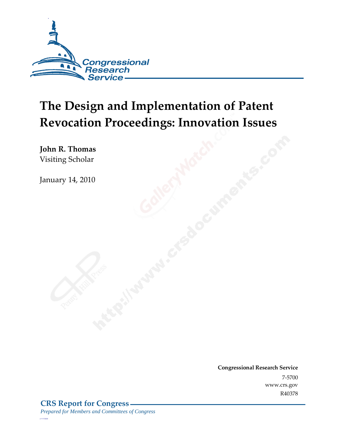

# **The Design and Implementation of Patent Revocation Proceedings: Innovation Issues**

**John R. Thomas**  Visiting Scholar

January 14, 2010

**Congressional Research Service** 7-5700 www.crs.gov R40378

*c11173008*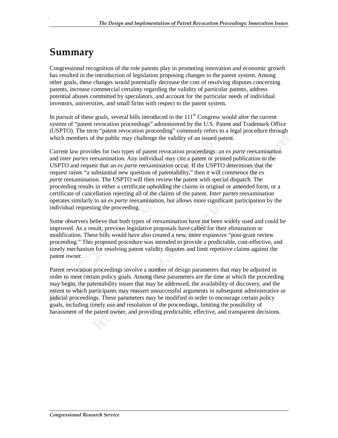## **Summary**

.

Congressional recognition of the role patents play in promoting innovation and economic growth has resulted in the introduction of legislation proposing changes to the patent system. Among other goals, these changes would potentially decrease the cost of resolving disputes concerning patents, increase commercial certainty regarding the validity of particular patents, address potential abuses committed by speculators, and account for the particular needs of individual inventors, universities, and small firms with respect to the patent system.

In pursuit of these goals, several bills introduced in the  $111<sup>th</sup>$  Congress would alter the current system of "patent revocation proceedings" administered by the U.S. Patent and Trademark Office (USPTO). The term "patent revocation proceeding" commonly refers to a legal procedure through which members of the public may challenge the validity of an issued patent.

Current law provides for two types of patent revocation proceedings: an *ex parte* reexamination and *inter partes* reexamination. Any individual may cite a patent or printed publication to the USPTO and request that an *ex parte* reexamination occur. If the USPTO determines that the request raises "a substantial new question of patentability," then it will commence the *ex parte* reexamination. The USPTO will then review the patent with special dispatch. The proceeding results in either a certificate upholding the claims in original or amended form, or a certificate of cancellation rejecting all of the claims of the patent. *Inter partes* reexamination operates similarly to an *ex parte* reexamination, but allows more significant participation by the individual requesting the proceeding.

Some observers believe that both types of reexamination have not been widely used and could be improved. As a result, previous legislative proposals have called for their elimination or modification. These bills would have also created a new, more expansive "post-grant review proceeding." This proposed procedure was intended to provide a predictable, cost-effective, and timely mechanism for resolving patent validity disputes and limit repetitive claims against the patent owner.

Patent revocation proceedings involve a number of design parameters that may be adjusted in order to meet certain policy goals. Among these parameters are the time at which the proceeding may begin, the patentability issues that may be addressed, the availability of discovery, and the extent to which participants may reassert unsuccessful arguments in subsequent administrative or judicial proceedings. These parameters may be modified in order to encourage certain policy goals, including timely use and resolution of the proceedings, limiting the possibility of harassment of the patent owner, and providing predictable, effective, and transparent decisions.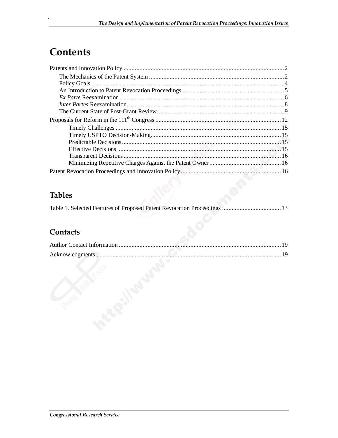## **Contents**

## **Tables**

## Contacts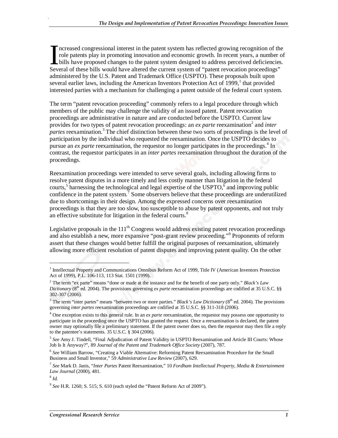ncreased congressional interest in the patent system has reflected growing recognition of the role patents play in promoting innovation and economic growth. In recent years, a number of bills have proposed changes to the patent system designed to address perceived deficiencies. Increased congressional interest in the patent system has reflected growing recognition of the role patents play in promoting innovation and economic growth. In recent years, a number of bills have proposed changes to the administered by the U.S. Patent and Trademark Office (USPTO). These proposals built upon several earlier laws, including the American Inventors Protection Act of  $1999$ , that provided interested parties with a mechanism for challenging a patent outside of the federal court system.

The term "patent revocation proceeding" commonly refers to a legal procedure through which members of the public may challenge the validity of an issued patent. Patent revocation proceedings are administrative in nature and are conducted before the USPTO. Current law provides for two types of patent revocation proceedings: an *ex parte* reexamination<sup>2</sup> and *inter* partes reexamination.<sup>3</sup> The chief distinction between these two sorts of proceedings is the level of participation by the individual who requested the reexamination. Once the USPTO decides to pursue an *ex parte* reexamination, the requestor no longer participates in the proceedings.<sup>4</sup> In contrast, the requestor participates in an *inter partes* reexamination throughout the duration of the proceedings.

Reexamination proceedings were intended to serve several goals, including allowing firms to resolve patent disputes in a more timely and less costly manner than litigation in the federal courts,<sup>5</sup> harnessing the technological and legal expertise of the USPTO, $\overset{6}{\circ}$  and improving public confidence in the patent system.<sup>7</sup> Some observers believe that these proceedings are underutilized due to shortcomings in their design. Among the expressed concerns over reexamination proceedings is that they are too slow, too susceptible to abuse by patent opponents, and not truly an effective substitute for litigation in the federal courts. $8$ 

Legislative proposals in the  $111<sup>th</sup>$  Congress would address existing patent revocation proceedings and also establish a new, more expansive "post-grant review proceeding."<sup>9</sup> Proponents of reform assert that these changes would better fulfill the original purposes of reexamination, ultimately allowing more efficient resolution of patent disputes and improving patent quality. On the other

1

<sup>&</sup>lt;sup>1</sup> Intellectual Property and Communications Omnibus Reform Act of 1999, Title IV (American Inventors Protection Act of 1999), P.L. 106-113, 113 Stat. 1501 (1999).

<sup>2</sup> The term "ex parte" means "done or made at the instance and for the benefit of one party only." *Black's Law Dictionary* ( $8<sup>th</sup>$  ed. 2004). The provisions governing *ex parte* reexamination proceedings are codified at 35 U.S.C. §§ 302-307 (2006).

 $3$  The term "inter partes" means "between two or more parties." *Black's Law Dictionary* ( $8<sup>th</sup>$  ed. 2004). The provisions governing *inter partes* reexamination proceedings are codified at 35 U.S.C. §§ 311-318 (2006).

<sup>4</sup> One exception exists to this general rule. In an *ex parte* reexamination, the requestor may possess one opportunity to participate in the proceeding once the USPTO has granted the request. Once a reexamination is declared, the patent owner may optionally file a preliminary statement. If the patent owner does so, then the requestor may then file a reply to the patentee's statements. 35 U.S.C. § 304 (2006).

<sup>5</sup> *See* Amy J. Tindell, "Final Adjudication of Patent Validity in USPTO Reexamination and Article III Courts: Whose Job Is It Anyway?", 89 *Journal of the Patent and Trademark Office Society* (2007), 787.

<sup>6</sup> *See* William Barrow, "Creating a Viable Alternative: Reforming Patent Reexamination Procedure for the Small Business and Small Inventor," 59 *Administrative Law Review* (2007), 629.

<sup>7</sup> *See* Mark D. Janis, "*Inter Partes* Patent Reexamination," 10 *Fordham Intellectual Property, Media & Entertainment Law Journal* (2000), 481. 8 *Id.*

<sup>9</sup> *See* H.R. 1260; S. 515; S. 610 (each styled the "Patent Reform Act of 2009").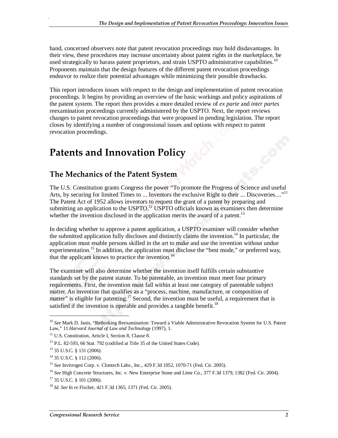hand, concerned observers note that patent revocation proceedings may hold disdavantages. In their view, these procedures may increase uncertainty about patent rights in the marketplace, be used strategically to harass patent proprietors, and strain USPTO administrative capabilities.<sup>10</sup> Proponents maintain that the design features of the different patent revocation proceedings endeavor to realize their potential advantages while minimizing their possible drawbacks.

This report introduces issues with respect to the design and implementation of patent revocation proceedings. It begins by providing an overview of the basic workings and policy aspirations of the patent system. The report then provides a more detailed review of *ex parte* and *inter partes*  reexamination proceedings currently administered by the USPTO. Next, the report reviews changes to patent revocation proceedings that were proposed in pending legislation. The report closes by identifying a number of congressional issues and options with respect to patent revocation proceedings.

## **Patents and Innovation Policy**

## **The Mechanics of the Patent System**

The U.S. Constitution grants Congress the power "To promote the Progress of Science and useful Arts, by securing for limited Times to ... Inventors the exclusive Right to their ... Discoveries...."<sup>11</sup> The Patent Act of 1952 allows inventors to request the grant of a patent by preparing and submitting an application to the USPTO.<sup>12</sup> USPTO officials known as examiners then determine whether the invention disclosed in the application merits the award of a patent.<sup>13</sup>

In deciding whether to approve a patent application, a USPTO examiner will consider whether the submitted application fully discloses and distinctly claims the invention.<sup>14</sup> In particular, the application must enable persons skilled in the art to make and use the invention without undue experimentation.<sup>15</sup> In addition, the application must disclose the "best mode," or preferred way, that the applicant knows to practice the invention.<sup>16</sup>

The examiner will also determine whether the invention itself fulfills certain substantive standards set by the patent statute. To be patentable, an invention must meet four primary requirements. First, the invention must fall within at least one category of patentable subject matter. An invention that qualifies as a "process, machine, manufacture, or composition of matter" is eligible for patenting.<sup>17</sup> Second, the invention must be useful, a requirement that is satisfied if the invention is operable and provides a tangible benefit.<sup>18</sup>

1

<sup>10</sup> *See* Mark D. Janis, "Rethinking Reexamination: Toward a Viable Administrative Revocation System for U.S. Patent Law," 11 *Harvard Journal of Law and Technology* (1997), 1.

 $11$  U.S. Constitution, Article I, Section 8, Clause 8.

 $12$  P.L. 82-593, 66 Stat. 792 (codified at Title 35 of the United States Code).

<sup>13 35</sup> U.S.C. § 131 (2006).

<sup>14 35</sup> U.S.C. § 112 (2006).

<sup>15</sup> *See* Invitrogen Corp. v. Clontech Labs., Inc., 429 F.3d 1052, 1070-71 (Fed. Cir. 2005).

<sup>&</sup>lt;sup>16</sup> See High Concrete Structures, Inc. v. New Enterprise Stone and Lime Co., 377 F.3d 1379, 1382 (Fed. Cir. 2004).

<sup>17 35</sup> U.S.C. § 101 (2006).

<sup>18</sup> *Id. See* In re Fischer, 421 F.3d 1365, 1371 (Fed. Cir. 2005).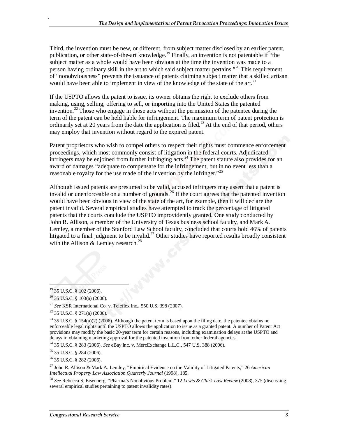Third, the invention must be new, or different, from subject matter disclosed by an earlier patent, publication, or other state-of-the-art knowledge.<sup>19</sup> Finally, an invention is not patentable if "the subject matter as a whole would have been obvious at the time the invention was made to a person having ordinary skill in the art to which said subject matter pertains."<sup>20</sup> This requirement of "nonobviousness" prevents the issuance of patents claiming subject matter that a skilled artisan would have been able to implement in view of the knowledge of the state of the art.<sup>21</sup>

If the USPTO allows the patent to issue, its owner obtains the right to exclude others from making, using, selling, offering to sell, or importing into the United States the patented invention.<sup>22</sup> Those who engage in those acts without the permission of the patentee during the term of the patent can be held liable for infringement. The maximum term of patent protection is ordinarily set at 20 years from the date the application is filed.<sup>23</sup> At the end of that period, others may employ that invention without regard to the expired patent.

Patent proprietors who wish to compel others to respect their rights must commence enforcement proceedings, which most commonly consist of litigation in the federal courts. Adjudicated infringers may be enjoined from further infringing acts.<sup>24</sup> The patent statute also provides for an award of damages "adequate to compensate for the infringement, but in no event less than a reasonable royalty for the use made of the invention by the infringer."<sup>25</sup>

Although issued patents are presumed to be valid, accused infringers may assert that a patent is invalid or unenforceable on a number of grounds.<sup>26</sup> If the court agrees that the patented invention would have been obvious in view of the state of the art, for example, then it will declare the patent invalid. Several empirical studies have attempted to track the percentage of litigated patents that the courts conclude the USPTO improvidently granted. One study conducted by John R. Allison, a member of the University of Texas business school faculty, and Mark A. Lemley, a member of the Stanford Law School faculty, concluded that courts hold 46% of patents litigated to a final judgment to be invalid.<sup>27</sup> Other studies have reported results broadly consistent with the Allison & Lemley research.<sup>28</sup>

**.** 

.

24 35 U.S.C. § 283 (2006). *See* eBay Inc. v. MercExchange L.L.C., 547 U.S. 388 (2006).

26 35 U.S.C. § 282 (2006).

27 John R. Allison & Mark A. Lemley, "Empirical Evidence on the Validity of Litigated Patents," 26 *American Intellectual Property Law Association Quarterly Journal* (1998), 185.

<sup>28</sup> *See* Rebecca S. Eisenberg, "Pharma's Nonobvious Problem," 12 *Lewis & Clark Law Review* (2008), 375 (discussing several empirical studies pertaining to patent invalidity rates).

<sup>&</sup>lt;sup>19</sup> 35 U.S.C. § 102 (2006).

<sup>20 35</sup> U.S.C. § 103(a) (2006).

<sup>21</sup> *See* KSR International Co. v. Teleflex Inc., 550 U.S. 398 (2007).

 $22$  35 U.S.C. § 271(a) (2006).

<sup>&</sup>lt;sup>23</sup> 35 U.S.C. § 154(a)(2) (2006). Although the patent term is based upon the filing date, the patentee obtains no enforceable legal rights until the USPTO allows the application to issue as a granted patent. A number of Patent Act provisions may modify the basic 20-year term for certain reasons, including examination delays at the USPTO and delays in obtaining marketing approval for the patented invention from other federal agencies.

 $25$  35 U.S.C. § 284 (2006).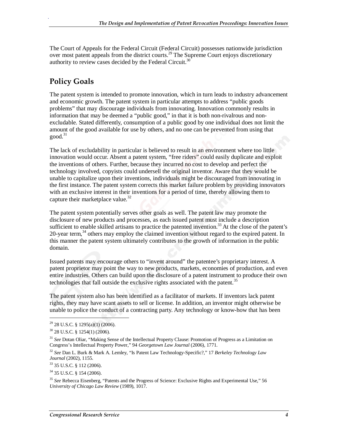The Court of Appeals for the Federal Circuit (Federal Circuit) possesses nationwide jurisdiction over most patent appeals from the district courts.<sup>29</sup> The Supreme Court enjoys discretionary authority to review cases decided by the Federal Circuit.<sup>30</sup>

## **Policy Goals**

.

The patent system is intended to promote innovation, which in turn leads to industry advancement and economic growth. The patent system in particular attempts to address "public goods problems" that may discourage individuals from innovating. Innovation commonly results in information that may be deemed a "public good," in that it is both non-rivalrous and nonexcludable. Stated differently, consumption of a public good by one individual does not limit the amount of the good available for use by others, and no one can be prevented from using that  $good.<sup>31</sup>$ 

The lack of excludability in particular is believed to result in an environment where too little innovation would occur. Absent a patent system, "free riders" could easily duplicate and exploit the inventions of others. Further, because they incurred no cost to develop and perfect the technology involved, copyists could undersell the original inventor. Aware that they would be unable to capitalize upon their inventions, individuals might be discouraged from innovating in the first instance. The patent system corrects this market failure problem by providing innovators with an exclusive interest in their inventions for a period of time, thereby allowing them to capture their marketplace value. $32$ 

The patent system potentially serves other goals as well. The patent law may promote the disclosure of new products and processes, as each issued patent must include a description sufficient to enable skilled artisans to practice the patented invention.<sup>33</sup> At the close of the patent's 20-year term,<sup>34</sup> others may employ the claimed invention without regard to the expired patent. In this manner the patent system ultimately contributes to the growth of information in the public domain.

Issued patents may encourage others to "invent around" the patentee's proprietary interest. A patent proprietor may point the way to new products, markets, economies of production, and even entire industries. Others can build upon the disclosure of a patent instrument to produce their own technologies that fall outside the exclusive rights associated with the patent.<sup>35</sup>

The patent system also has been identified as a facilitator of markets. If inventors lack patent rights, they may have scant assets to sell or license. In addition, an inventor might otherwise be unable to police the conduct of a contracting party. Any technology or know-how that has been

1

 $29$  28 U.S.C. § 1295(a)(1) (2006).

 $30$  28 U.S.C. § 1254(1) (2006).

<sup>31</sup> *See* Dotan Oliar, "Making Sense of the Intellectual Property Clause: Promotion of Progress as a Limitation on Congress's Intellectual Property Power," 94 *Georgetown Law Journal* (2006), 1771.

<sup>32</sup> *See* Dan L. Burk & Mark A. Lemley, "Is Patent Law Technology-Specific?," 17 *Berkeley Technology Law Journal* (2002), 1155.

<sup>33 35</sup> U.S.C. § 112 (2006).

<sup>34 35</sup> U.S.C. § 154 (2006).

<sup>35</sup> *See* Rebecca Eisenberg, "Patents and the Progress of Science: Exclusive Rights and Experimental Use," 56 *University of Chicago Law Review* (1989), 1017.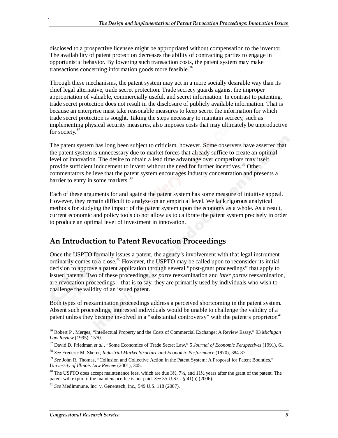disclosed to a prospective licensee might be appropriated without compensation to the inventor. The availability of patent protection decreases the ability of contracting parties to engage in opportunistic behavior. By lowering such transaction costs, the patent system may make transactions concerning information goods more feasible.<sup>36</sup>

Through these mechanisms, the patent system may act in a more socially desirable way than its chief legal alternative, trade secret protection. Trade secrecy guards against the improper appropriation of valuable, commercially useful, and secret information. In contrast to patenting, trade secret protection does not result in the disclosure of publicly available information. That is because an enterprise must take reasonable measures to keep secret the information for which trade secret protection is sought. Taking the steps necessary to maintain secrecy, such as implementing physical security measures, also imposes costs that may ultimately be unproductive for society.<sup>37</sup>

The patent system has long been subject to criticism, however. Some observers have asserted that the patent system is unnecessary due to market forces that already suffice to create an optimal level of innovation. The desire to obtain a lead time advantage over competitors may itself provide sufficient inducement to invent without the need for further incentives.<sup>38</sup> Other commentators believe that the patent system encourages industry concentration and presents a barrier to entry in some markets.<sup>39</sup>

Each of these arguments for and against the patent system has some measure of intuitive appeal. However, they remain difficult to analyze on an empirical level. We lack rigorous analytical methods for studying the impact of the patent system upon the economy as a whole. As a result, current economic and policy tools do not allow us to calibrate the patent system precisely in order to produce an optimal level of investment in innovation.

## **An Introduction to Patent Revocation Proceedings**

Once the USPTO formally issues a patent, the agency's involvement with that legal instrument ordinarily comes to a close.<sup>40</sup> However, the USPTO may be called upon to reconsider its initial decision to approve a patent application through several "post-grant proceedings" that apply to issued patents. Two of these proceedings, *ex parte* reexamination and *inter partes* reexamination, are revocation proceedings—that is to say, they are primarily used by individuals who wish to challenge the validity of an issued patent.

Both types of reexamination proceedings address a perceived shortcoming in the patent system. Absent such proceedings, interested individuals would be unable to challenge the validity of a patent unless they became involved in a "substantial controversy" with the patent's proprietor.<sup>41</sup>

1

<sup>36</sup> Robert P . Merges, "Intellectual Property and the Costs of Commercial Exchange: A Review Essay," 93 *Michigan Law Review* (1995), 1570.

<sup>37</sup> David D. Friedman *et al.*, "Some Economics of Trade Secret Law," 5 *Journal of Economic Perspectives* (1991), 61.

<sup>38</sup> *See* Frederic M. Sherer, *Industrial Market Structure and Economic Performance* (1970), 384-87.

<sup>&</sup>lt;sup>39</sup> See John R. Thomas, "Collusion and Collective Action in the Patent System: A Proposal for Patent Bounties," *University of Illinois Law Review* (2001), 305.

<sup>&</sup>lt;sup>40</sup> The USPTO does accept maintenance fees, which are due  $3\frac{1}{2}$ ,  $7\frac{1}{2}$ , and  $11\frac{1}{2}$  years after the grant of the patent. The patent will expire if the maintenance fee is not paid. *See* 35 U.S.C. § 41(b) (2006).

<sup>41</sup> *See* MedImmune, Inc. v. Genentech, Inc., 549 U.S. 118 (2007).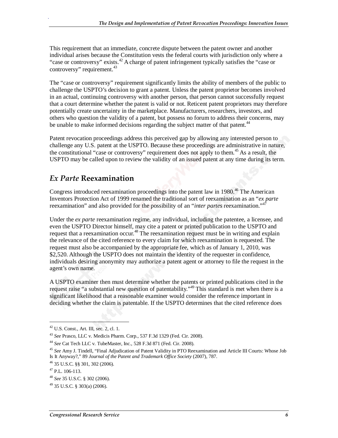This requirement that an immediate, concrete dispute between the patent owner and another individual arises because the Constitution vests the federal courts with jurisdiction only where a "case or controversy" exists.<sup>42</sup> A charge of patent infringement typically satisfies the "case or controversy" requirement.<sup>43</sup>

The "case or controversy" requirement significantly limits the ability of members of the public to challenge the USPTO's decision to grant a patent. Unless the patent proprietor becomes involved in an actual, continuing controversy with another person, that person cannot successfully request that a court determine whether the patent is valid or not. Reticent patent proprietors may therefore potentially create uncertainty in the marketplace. Manufacturers, researchers, investors, and others who question the validity of a patent, but possess no forum to address their concerns, may be unable to make informed decisions regarding the subject matter of that patent.<sup>44</sup>

Patent revocation proceedings address this perceived gap by allowing any interested person to challenge any U.S. patent at the USPTO. Because these proceedings are administrative in nature, the constitutional "case or controversy" requirement does not apply to them.<sup>45</sup> As a result, the USPTO may be called upon to review the validity of an issued patent at any time during its term.

### *Ex Parte* **Reexamination**

Congress introduced reexamination proceedings into the patent law in 1980.<sup>46</sup> The American Inventors Protection Act of 1999 renamed the traditional sort of reexamination as an "*ex parte* reexamination" and also provided for the possibility of an "*inter partes* reexamination."<sup>47</sup>

Under the *ex parte* reexamination regime, any individual, including the patentee, a licensee, and even the USPTO Director himself, may cite a patent or printed publication to the USPTO and request that a reexamination occur.<sup>48</sup> The reexamination request must be in writing and explain the relevance of the cited reference to every claim for which reexamination is requested. The request must also be accompanied by the appropriate fee, which as of January 1, 2010, was \$2,520. Although the USPTO does not maintain the identity of the requester in confidence, individuals desiring anonymity may authorize a patent agent or attorney to file the request in the agent's own name.

A USPTO examiner then must determine whether the patents or printed publications cited in the request raise "a substantial new question of patentability."<sup>49</sup> This standard is met when there is a significant likelihood that a reasonable examiner would consider the reference important in deciding whether the claim is patentable. If the USPTO determines that the cited reference does

1

<sup>42</sup> U.S. Const., Art. III, sec. 2, cl. 1.

<sup>43</sup> *See* Prasco, LLC v. Medicis Pharm. Corp., 537 F.3d 1329 (Fed. Cir. 2008).

<sup>44</sup> *See* Cat Tech LLC v. TubeMaster, Inc., 528 F.3d 871 (Fed. Cir. 2008).

<sup>45</sup> *See* Amy J. Tindell, "Final Adjudication of Patent Validity in PTO Reexamination and Article III Courts: Whose Job Is It Anyway?," 89 *Journal of the Patent and Trademark Office Society* (2007), 787.

<sup>46 35</sup> U.S.C. §§ 301, 302 (2006).

 $47$  P.L. 106-113.

<sup>48</sup> *See* 35 U.S.C. § 302 (2006).

 $49$  35 U.S.C. § 303(a) (2006).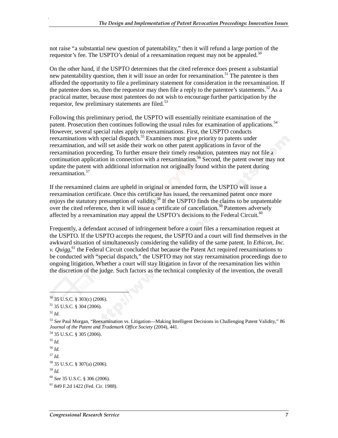not raise "a substantial new question of patentability," then it will refund a large portion of the requestor's fee. The USPTO's denial of a reexamination request may not be appealed.<sup>50</sup>

On the other hand, if the USPTO determines that the cited reference does present a substantial new patentability question, then it will issue an order for reexamination.<sup>51</sup> The patentee is then afforded the opportunity to file a preliminary statement for consideration in the reexamination. If the patentee does so, then the requestor may then file a reply to the patentee's statements.<sup>52</sup> As a practical matter, because most patentees do not wish to encourage further participation by the requestor, few preliminary statements are filed.<sup>53</sup>

Following this preliminary period, the USPTO will essentially reinitiate examination of the patent. Prosecution then continues following the usual rules for examination of applications.<sup>54</sup> However, several special rules apply to reexaminations. First, the USPTO conducts reexaminations with special dispatch.<sup>55</sup> Examiners must give priority to patents under reexamination, and will set aside their work on other patent applications in favor of the reexamination proceeding. To further ensure their timely resolution, patentees may not file a continuation application in connection with a reexamination.<sup>56</sup> Second, the patent owner may not update the patent with additional information not originally found within the patent during reexamination.<sup>57</sup>

If the reexamined claims are upheld in original or amended form, the USPTO will issue a reexamination certificate. Once this certificate has issued, the reexamined patent once more enjoys the statutory presumption of validity.<sup>58</sup> If the USPTO finds the claims to be unpatentable over the cited reference, then it will issue a certificate of cancellation.<sup>59</sup> Patentees adversely affected by a reexamination may appeal the USPTO's decisions to the Federal Circuit.<sup>60</sup>

Frequently, a defendant accused of infringement before a court files a reexamination request at the USPTO. If the USPTO accepts the request, the USPTO and a court will find themselves in the awkward situation of simultaneously considering the validity of the same patent. In *Ethicon, Inc. v. Quigg*, 61 the Federal Circuit concluded that because the Patent Act required reexaminations to be conducted with "special dispatch," the USPTO may not stay reexamination proceedings due to ongoing litigation. Whether a court will stay litigation in favor of the reexamination lies within the discretion of the judge. Such factors as the technical complexity of the invention, the overall

1

<sup>50 35</sup> U.S.C. § 303(c) (2006).

 $51$  35 U.S.C. § 304 (2006).

<sup>52</sup> *Id.*

<sup>53</sup> *See* Paul Morgan, "Reexamination vs. Litigation—Making Intelligent Decisions in Challenging Patent Validity," 86 *Journal of the Patent and Trademark Office Society* (2004), 441.

<sup>54 35</sup> U.S.C. § 305 (2006).

<sup>55</sup> *Id.*

<sup>56</sup> *Id.*

<sup>57</sup> *Id.*

<sup>58 35</sup> U.S.C. § 307(a) (2006).

<sup>59</sup> *Id.*

<sup>60</sup> *See* 35 U.S.C. § 306 (2006).

<sup>61 849</sup> F.2d 1422 (Fed. Cir. 1988).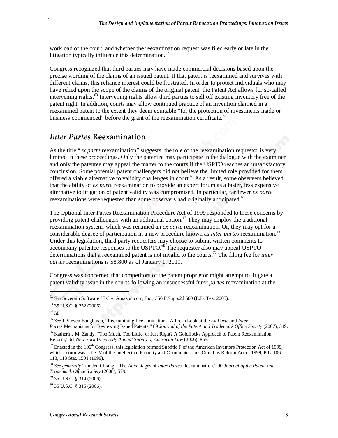workload of the court, and whether the reexamination request was filed early or late in the litigation typically influence this determination. $62$ 

Congress recognized that third parties may have made commercial decisions based upon the precise wording of the claims of an issued patent. If that patent is reexamined and survives with different claims, this reliance interest could be frustrated. In order to protect individuals who may have relied upon the scope of the claims of the original patent, the Patent Act allows for so-called intervening rights.<sup>63</sup> Intervening rights allow third parties to sell off existing inventory free of the patent right. In addition, courts may allow continued practice of an invention claimed in a reexamined patent to the extent they deem equitable "for the protection of investments made or business commenced" before the grant of the reexamination certificate.<sup>64</sup>

### *Inter Partes* **Reexamination**

As the title "*ex parte* reexamination" suggests, the role of the reexamination requestor is very limited in these proceedings. Only the patentee may participate in the dialogue with the examiner, and only the patentee may appeal the matter to the courts if the USPTO reaches an unsatisfactory conclusion. Some potential patent challengers did not believe the limited role provided for them offered a viable alternative to validity challenges in court.65 As a result, some observers believed that the ability of *ex parte* reexamination to provide an expert forum as a faster, less expensive alternative to litigation of patent validity was compromised. In particular, far fewer *ex parte* reexaminations were requested than some observers had originally anticipated.<sup>66</sup>

The Optional Inter Partes Reexamination Procedure Act of 1999 responded to these concerns by providing patent challengers with an additional option.<sup>67</sup> They may employ the traditional reexamination system, which was renamed an *ex parte* reexamination. Or, they may opt for a considerable degree of participation in a new procedure known as *inter partes* reexamination.<sup>68</sup> Under this legislation, third party requesters may choose to submit written comments to accompany patentee responses to the USPTO.<sup>69</sup> The requester also may appeal USPTO determinations that a reexamined patent is not invalid to the courts.<sup>70</sup> The filing fee for *inter partes* reexaminations is \$8,800 as of January 1, 2010.

Congress was concerned that competitors of the patent proprietor might attempt to litigate a patent validity issue in the courts following an unsuccessful *inter partes* reexamination at the

1

<sup>62</sup> *See* Soverain Software LLC v. Amazon.com, Inc., 356 F.Supp.2d 660 (E.D. Tex. 2005).

 $63$  35 U.S.C.  $8$  252 (2006).

<sup>64</sup> *Id.*

<sup>65</sup> *See* J. Steven Baughman, "Reexamining Reexaminations: A Fresh Look at the *Ex Parte* and *Inter Partes* Mechanisms for Reviewing Issued Patents," 89 *Journal of the Patent and Trademark Office Society* (2007), 349.

<sup>&</sup>lt;sup>66</sup> Katherine M. Zandy, "Too Much, Too Little, or Just Right? A Goldilocks Approach to Patent Reexamination Reform," 61 *New York University Annual Survey of American Law* (2006), 865.

 $67$  Enacted in the 106<sup>th</sup> Congress, this legislation formed Subtitle F of the American Inventors Protection Act of 1999, which in turn was Title IV of the Intellectual Property and Communications Omnibus Reform Act of 1999, P.L. 106- 113, 113 Stat. 1501 (1999).

<sup>68</sup> *See generally* Tun-Jen Chiang, "The Advantages of *Inter Partes* Reexamination," 90 *Journal of the Patent and Trademark Office Society* (2008), 579. 69 35 U.S.C. § 314 (2006).

 $70$  35 U.S.C. § 315 (2006).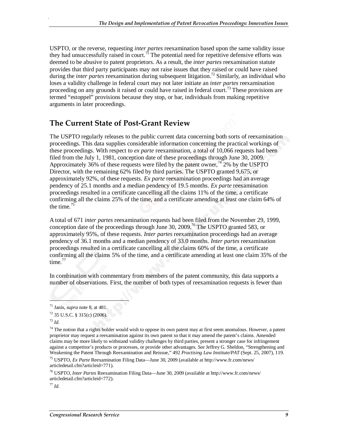USPTO, or the reverse, requesting *inter partes* reexamination based upon the same validity issue they had unsuccessfully raised in court.<sup>71</sup> The potential need for repetitive defensive efforts was deemed to be abusive to patent proprietors. As a result, the *inter partes* reexamination statute provides that third party participants may not raise issues that they raised or could have raised during the *inter partes* reexamination during subsequent litigation.<sup>72</sup> Similarly, an individual who loses a validity challenge in federal court may not later initiate an *inter partes* reexamination proceeding on any grounds it raised or could have raised in federal court.<sup>73</sup> These provisions are termed "estoppel" provisions because they stop, or bar, individuals from making repetitive arguments in later proceedings.

### **The Current State of Post-Grant Review**

The USPTO regularly releases to the public current data concerning both sorts of reexamination proceedings. This data supplies considerable information concerning the practical workings of these proceedings. With respect to *ex parte* reexamination, a total of 10,066 requests had been filed from the July 1, 1981, conception date of these proceedings through June 30, 2009. Approximately 36% of these requests were filed by the patent owner,  $^{74}$  2% by the USPTO Director, with the remaining 62% filed by third parties. The USPTO granted 9,675, or approximately 92%, of these requests. *Ex parte* reexamination proceedings had an average pendency of 25.1 months and a median pendency of 19.5 months. *Ex parte* reexamination proceedings resulted in a certificate cancelling all the claims 11% of the time, a certificate confirming all the claims 25% of the time, and a certificate amending at least one claim 64% of the time. $^{75}$ 

A total of 671 *inter partes* reexamination requests had been filed from the November 29, 1999, conception date of the proceedings through June 30, 2009.<sup>76</sup> The USPTO granted 583, or approximately 95%, of these requests. *Inter partes* reexamination proceedings had an average pendency of 36.1 months and a median pendency of 33.0 months. *Inter partes* reexamination proceedings resulted in a certificate cancelling all the claims 60% of the time, a certificate confirming all the claims 5% of the time, and a certificate amending at least one claim 35% of the time. $77$ 

In combination with commentary from members of the patent community, this data supports a number of observations. First, the number of both types of reexamination requests is fewer than

<sup>73</sup> *Id.*

 $\overline{\phantom{a}}$ 

.

<sup>77</sup> *Id.*

<sup>71</sup> Janis, *supra* note 8, at 481.

 $72$  35 U.S.C. § 315(c) (2006).

 $74$  The notion that a rights holder would wish to oppose its own patent may at first seem anomalous. However, a patent proprietor may request a reexamination against its own patent so that it may amend the patent's claims. Amended claims may be more likely to withstand validity challenges by third parties, present a stronger case for infringement against a competitor's products or processes, or provide other advantages. *See* Jeffrey G. Sheldon, "Strengthening and Weakening the Patent Through Reexamination and Reissue," 492 *Practising Law Institute/PAT* (Sept. 25, 2007), 119.

<sup>75</sup> USPTO, *Ex Parte* Reexamination Filing Data—June 30, 2009 (available at http://www.fr.com/news/ articledetail.cfm?articleid=771).

<sup>76</sup> USPTO, *Inter Partes* Reexamination Filing Data—June 30, 2009 (available at http://www.fr.com/news/ articledetail.cfm?articleid=772).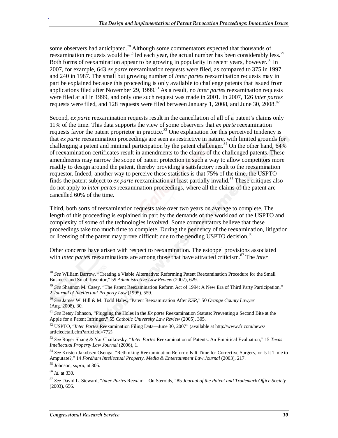some observers had anticipated.<sup>78</sup> Although some commentators expected that thousands of reexamination requests would be filed each year, the actual number has been considerably less.<sup>79</sup> Both forms of reexamination appear to be growing in popularity in recent years, however.<sup>80</sup> In 2007, for example, 643 *ex parte* reexamination requests were filed, as compared to 375 in 1997 and 240 in 1987. The small but growing number of *inter partes* reexamination requests may in part be explained because this proceeding is only available to challenge patents that issued from applications filed after November 29, 1999.<sup>81</sup> As a result, no *inter partes* reexamination requests were filed at all in 1999, and only one such request was made in 2001. In 2007, 126 *inter partes* requests were filed, and 128 requests were filed between January 1, 2008, and June 30, 2008.<sup>82</sup>

Second, *ex parte* reexamination requests result in the cancellation of all of a patent's claims only 11% of the time. This data supports the view of some observers that *ex parte* reexamination requests favor the patent proprietor in practice.<sup>83</sup> One explanation for this perceived tendency is that *ex parte* reexamination proceedings are seen as restrictive in nature, with limited grounds for challenging a patent and minimal participation by the patent challenger.<sup>84</sup> On the other hand,  $64\%$ of reexamination certificates result in amendments to the claims of the challenged patents. These amendments may narrow the scope of patent protection in such a way to allow competitors more readily to design around the patent, thereby providing a satisfactory result to the reexamination requestor. Indeed, another way to perceive these statistics is that 75% of the time, the USPTO finds the patent subject to *ex parte* reexamination at least partially invalid.<sup>85</sup> These critiques also do not apply to *inter partes* reexamination proceedings, where all the claims of the patent are cancelled 60% of the time.

Third, both sorts of reexamination requests take over two years on average to complete. The length of this proceeding is explained in part by the demands of the workload of the USPTO and complexity of some of the technologies involved. Some commentators believe that these proceedings take too much time to complete. During the pendency of the reexamination, litigation or licensing of the patent may prove difficult due to the pending USPTO decision.<sup>86</sup>

Other concerns have arisen with respect to reexamination. The estoppel provisions associated with *inter partes* reexaminations are among those that have attracted criticism.<sup>87</sup> The *inter* 

<u>.</u>

<sup>78</sup> *See* William Barrow, "Creating a Viable Alternative: Reforming Patent Reexamination Procedure for the Small Business and Small Inventor," 59 *Administrative Law Review* (2007), 629.

<sup>79</sup> *See* Shannon M. Casey, "The Patent Reexamination Reform Act of 1994: A New Era of Third Party Participation," 2 *Journal of Intellectual Property Law* (1995), 559.

<sup>80</sup> *See* James W. Hill & M. Todd Hales, "Patent Reexamination After *KSR*," 50 *Orange County Lawyer* (Aug. 2008), 30.

<sup>81</sup> *See* Betsy Johnson, "Plugging the Holes in the *Ex parte* Reexamination Statute: Preventing a Second Bite at the Apple for a Patent Infringer," 55 *Catholic University Law Review* (2005), 305.

<sup>82</sup> USPTO, "*Inter Partes* Reexamination Filing Data—June 30, 2007" (available at http://www.fr.com/news/ articledetail.cfm?articleid=772).

<sup>83</sup> *See* Roger Shang & Yar Chaikovsky, "*Inter Partes* Reexamination of Patents: An Empirical Evaluation," 15 *Texas Intellectual Property Law Journal* (2006), 1.

<sup>84</sup> *See* Kristen Jakobsen Osenga, "Rethinking Reexamination Reform: Is It Time for Corrective Surgery, or Is It Time to Amputate?," 14 *Fordham Intellectual Property, Media & Entertainment Law Journal* (2003), 217.

<sup>85</sup> Johnson, *supra*, at 305.

<sup>86</sup> *Id.* at 330.

<sup>87</sup> *See* David L. Steward, "*Inter Partes* Reexam—On Steroids," 85 *Journal of the Patent and Trademark Office Society* (2003), 656.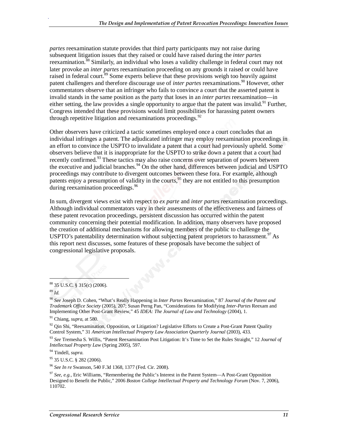*partes* reexamination statute provides that third party participants may not raise during subsequent litigation issues that they raised or could have raised during the *inter partes* reexamination.<sup>88</sup> Similarly, an individual who loses a validity challenge in federal court may not later provoke an *inter partes* reexamination proceeding on any grounds it raised or could have raised in federal court.<sup>89</sup> Some experts believe that these provisions weigh too heavily against patent challengers and therefore discourage use of *inter partes* reexaminations.<sup>90</sup> However, other commentators observe that an infringer who fails to convince a court that the asserted patent is invalid stands in the same position as the party that loses in an *inter partes* reexamination—in either setting, the law provides a single opportunity to argue that the patent was invalid.<sup>91</sup> Further, Congress intended that these provisions would limit possibilities for harassing patent owners through repetitive litigation and reexaminations proceedings.  $92$ 

Other observers have criticized a tactic sometimes employed once a court concludes that an individual infringes a patent. The adjudicated infringer may employ reexamination proceedings in an effort to convince the USPTO to invalidate a patent that a court had previously upheld. Some observers believe that it is inappropriate for the USPTO to strike down a patent that a court had recently confirmed.<sup>93</sup> These tactics may also raise concerns over separation of powers between the executive and judicial branches.<sup>94</sup> On the other hand, differences between judicial and USPTO proceedings may contribute to divergent outcomes between these fora. For example, although patents enjoy a presumption of validity in the courts,<sup>95</sup> they are not entitled to this presumption during reexamination proceedings.<sup>96</sup>

In sum, divergent views exist with respect to *ex parte* and *inter partes* reexamination proceedings. Although individual commentators vary in their assessments of the effectiveness and fairness of these patent revocation proceedings, persistent discussion has occurred within the patent community concerning their potential modification. In addition, many observers have proposed the creation of additional mechanisms for allowing members of the public to challenge the USPTO's patentability determination without subjecting patent proprietors to harassment.<sup>97</sup> As this report next discusses, some features of these proposals have become the subject of congressional legislative proposals.

88 35 U.S.C. § 315(c) (2006).

<sup>89</sup> *Id.*

<u>.</u>

.

<sup>94</sup> Tindell, *supra*.<br><sup>95</sup> 35 U.S.C. § 282 (2006).

<sup>96</sup> *See In re* Swanson, 540 F.3d 1368, 1377 (Fed. Cir. 2008).

<sup>90</sup> *See* Joseph D. Cohen, "What's Really Happening in *Inter Partes* Reexamination," 87 *Journal of the Patent and Trademark Office Society* (2005), 207; Susan Perng Pan, "Considerations for Modifying *Inter-Partes* Reexam and Implementing Other Post-Grant Review," 45 *IDEA: The Journal of Law and Technology* (2004), 1.

<sup>91</sup> Chiang, *supra*, at 580.

<sup>&</sup>lt;sup>92</sup> Qin Shi, "Reexamination, Opposition, or Litigation? Legislative Efforts to Create a Post-Grant Patent Quality Control System," 31 *American Intellectual Property Law Association Quarterly Journal* (2003), 433.

<sup>93</sup> *See* Tremesha S. Willis, "Patent Reexamination Post Litigation: It's Time to Set the Rules Straight," 12 *Journal of Intellectual Property Law* (Spring 2005), 597.

<sup>97</sup> *See, e.g.,* Eric Williams, "Remembering the Public's Interest in the Patent System—A Post-Grant Opposition Designed to Benefit the Public," 2006 *Boston College Intellectual Property and Technology Forum* (Nov. 7, 2006), 110702.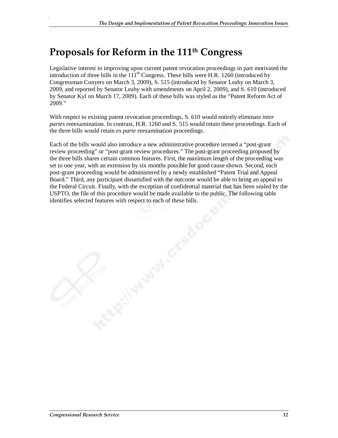## **Proposals for Reform in the 111th Congress**

.

Legislative interest in improving upon current patent revocation proceedings in part motivated the introduction of three bills in the  $111<sup>th</sup>$  Congress. These bills were H.R. 1260 (introduced by Congressman Conyers on March 3, 2009), S. 515 (introduced by Senator Leahy on March 3, 2009, and reported by Senator Leahy with amendments on April 2, 2009), and S. 610 (introduced by Senator Kyl on March 17, 2009). Each of these bills was styled as the "Patent Reform Act of 2009."

With respect to existing patent revocation proceedings, S. 610 would entirely eliminate *inter partes* reeexamination. In contrast, H.R. 1260 and S. 515 would retain these proceedings. Each of the three bills would retain *ex parte* reexamination proceedings.

Each of the bills would also introduce a new administrative procedure termed a "post-grant review proceeding" or "post-grant review procedures." The post-grant proceeding proposed by the three bills shares certain common features. First, the maximum length of the proceeding was set to one year, with an extension by six months possible for good cause shown. Second, each post-grant proceeding would be administered by a newly established "Patent Trial and Appeal Board." Third, any participant dissatisfied with the outcome would be able to bring an appeal to the Federal Circuit. Finally, with the exception of confidential material that has been sealed by the USPTO, the file of this procedure would be made available to the public. The following table identifies selected features with respect to each of these bills.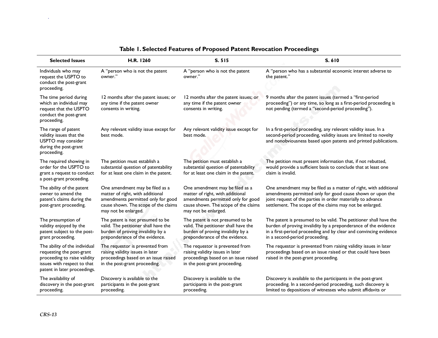|                                                                                                                                                           |                                                                                                                                                                           | Table 1. Selected Features of Proposed Patent Revocation Proceedings                                                                                                      |                                                                                                                                                                                                                                                           |
|-----------------------------------------------------------------------------------------------------------------------------------------------------------|---------------------------------------------------------------------------------------------------------------------------------------------------------------------------|---------------------------------------------------------------------------------------------------------------------------------------------------------------------------|-----------------------------------------------------------------------------------------------------------------------------------------------------------------------------------------------------------------------------------------------------------|
| <b>Selected Issues</b>                                                                                                                                    | H.R. 1260                                                                                                                                                                 | S. 515                                                                                                                                                                    | S.610                                                                                                                                                                                                                                                     |
| Individuals who may<br>request the USPTO to<br>conduct the post-grant<br>proceeding.                                                                      | A "person who is not the patent<br>owner."                                                                                                                                | A "person who is not the patent<br>owner."                                                                                                                                | A "person who has a substantial economic interest adverse to<br>the patent."                                                                                                                                                                              |
| The time period during<br>which an individual may<br>request that the USPTO<br>conduct the post-grant<br>proceeding.                                      | 12 months after the patent issues; or<br>any time if the patent owner<br>consents in writing.                                                                             | 12 months after the patent issues; or<br>any time if the patent owner<br>consents in writing.                                                                             | 9 months after the patent issues (termed a "first-period<br>proceeding") or any time, so long as a first-period proceeding is<br>not pending (termed a "second-period proceeding").                                                                       |
| The range of patent<br>validity issues that the<br>USPTO may consider<br>during the post-grant<br>proceeding.                                             | Any relevant validity issue except for<br>best mode.                                                                                                                      | Any relevant validity issue except for<br>best mode.                                                                                                                      | In a first-period proceeding, any relevant validity issue. In a<br>second-period proceeding, validity issues are limited to novelty<br>and nonobviousness based upon patents and printed publications.                                                    |
| The required showing in<br>order for the USPTO to<br>grant a request to conduct<br>a post-grant proceeding.                                               | The petition must establish a<br>substantial question of patentability<br>for at least one claim in the patent.                                                           | The petition must establish a<br>substantial question of patentability<br>for at least one claim in the patent.                                                           | The petition must present information that, if not rebutted,<br>would provide a sufficient basis to conclude that at least one<br>claim is invalid.                                                                                                       |
| The ability of the patent<br>owner to amend the<br>patent's claims during the<br>post-grant proceeding.                                                   | One amendment may be filed as a<br>matter of right, with additional<br>amendments permitted only for good<br>cause shown. The scope of the claims<br>may not be enlarged. | One amendment may be filed as a<br>matter of right, with additional<br>amendments permitted only for good<br>cause shown. The scope of the claims<br>may not be enlarged. | One amendment may be filed as a matter of right, with additional<br>amendments permitted only for good cause shown or upon the<br>joint request of the parties in order materially to advance<br>settlement. The scope of the claims may not be enlarged. |
| The presumption of<br>validity enjoyed by the<br>patent subject to the post-<br>grant proceeding.                                                         | The patent is not presumed to be<br>valid. The petitioner shall have the<br>burden of proving invalidity by a<br>preponderance of the evidence.                           | The patent is not presumed to be<br>valid. The petitioner shall have the<br>burden of proving invalidity by a<br>preponderance of the evidence.                           | The patent is presumed to be valid. The petitioner shall have the<br>burden of proving invalidity by a preponderance of the evidence<br>in a first-period proceeding and by clear and convincing evidence<br>in a second-period proceeding.               |
| The ability of the individual<br>requesting the post-grant<br>proceeding to raise validity<br>issues with respect to that<br>patent in later proceedings. | The requestor is prevented from<br>raising validity issues in later<br>proceedings based on an issue raised<br>in the post-grant proceeding.                              | The requestor is prevented from<br>raising validity issues in later<br>proceedings based on an issue raised<br>in the post-grant proceeding.                              | The requestor is prevented from raising validity issues in later<br>proceedings based on an issue raised or that could have been<br>raised in the post-grant proceeding.                                                                                  |
| The availability of<br>discovery in the post-grant<br>proceeding.                                                                                         | Discovery is available to the<br>participants in the post-grant<br>proceeding.                                                                                            | Discovery is available to the<br>participants in the post-grant<br>proceeding.                                                                                            | Discovery is available to the participants in the post-grant<br>proceeding. In a second-period proceeding, such discovery is<br>limited to depositions of witnesses who submit affidavits or                                                              |

## **Table 1. Selected Features of Proposed Patent Revocation Proceedings**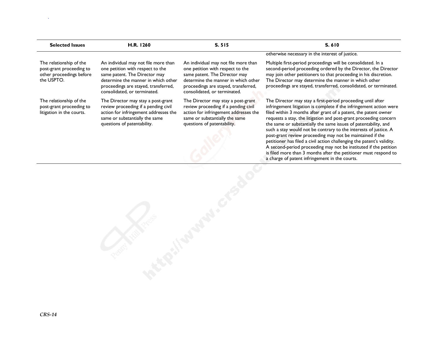| <b>Selected Issues</b>                                                                        | H.R. 1260                                                                                                                                                                                                                | S. 515                                                                                                                                                                                                                   | S.610                                                                                                                                                                                                                                                                                                                                                                                                                                                                                                                                                                                                                                                                                                                                              |
|-----------------------------------------------------------------------------------------------|--------------------------------------------------------------------------------------------------------------------------------------------------------------------------------------------------------------------------|--------------------------------------------------------------------------------------------------------------------------------------------------------------------------------------------------------------------------|----------------------------------------------------------------------------------------------------------------------------------------------------------------------------------------------------------------------------------------------------------------------------------------------------------------------------------------------------------------------------------------------------------------------------------------------------------------------------------------------------------------------------------------------------------------------------------------------------------------------------------------------------------------------------------------------------------------------------------------------------|
|                                                                                               |                                                                                                                                                                                                                          |                                                                                                                                                                                                                          | otherwise necessary in the interest of justice.                                                                                                                                                                                                                                                                                                                                                                                                                                                                                                                                                                                                                                                                                                    |
| The relationship of the<br>post-grant proceeding to<br>other proceedings before<br>the USPTO. | An individual may not file more than<br>one petition with respect to the<br>same patent. The Director may<br>determine the manner in which other<br>proceedings are stayed, transferred,<br>consolidated, or terminated. | An individual may not file more than<br>one petition with respect to the<br>same patent. The Director may<br>determine the manner in which other<br>proceedings are stayed, transferred,<br>consolidated, or terminated. | Multiple first-period proceedings will be consolidated. In a<br>second-period proceeding ordered by the Director, the Director<br>may join other petitioners to that proceeding in his discretion.<br>The Director may determine the manner in which other<br>proceedings are stayed, transferred, consolidated, or terminated.                                                                                                                                                                                                                                                                                                                                                                                                                    |
| The relationship of the<br>post-grant proceeding to<br>litigation in the courts.              | The Director may stay a post-grant<br>review proceeding if a pending civil<br>action for infringement addresses the<br>same or substantially the same<br>questions of patentability.                                     | The Director may stay a post-grant<br>review proceeding if a pending civil<br>action for infringement addresses the<br>same or substantially the same<br>questions of patentability.                                     | The Director may stay a first-period proceeding until after<br>infringement litigation is complete if the infringement action were<br>filed within 3 months after grant of a patent, the patent owner<br>requests a stay, the litigation and post-grant proceeding concern<br>the same or substantially the same issues of patentability, and<br>such a stay would not be contrary to the interests of justice. A<br>post-grant review proceeding may not be maintained if the<br>petitioner has filed a civil action challenging the patent's validity.<br>A second-period proceeding may not be instituted if the petition<br>is filed more than 3 months after the petitioner must respond to<br>a charge of patent infringement in the courts. |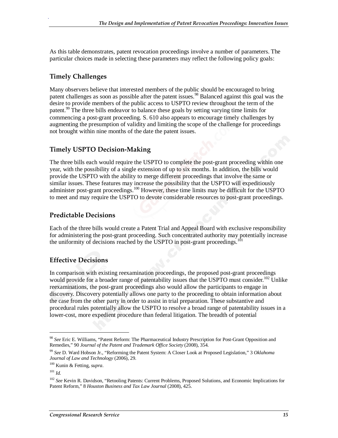As this table demonstrates, patent revocation proceedings involve a number of parameters. The particular choices made in selecting these parameters may reflect the following policy goals:

#### **Timely Challenges**

.

Many observers believe that interested members of the public should be encouraged to bring patent challenges as soon as possible after the patent issues.<sup>98</sup> Balanced against this goal was the desire to provide members of the public access to USPTO review throughout the term of the patent.<sup>99</sup> The three bills endeavor to balance these goals by setting varying time limits for commencing a post-grant proceeding. S. 610 also appears to encourage timely challenges by augmenting the presumption of validity and limiting the scope of the challenge for proceedings not brought within nine months of the date the patent issues.

#### **Timely USPTO Decision-Making**

The three bills each would require the USPTO to complete the post-grant proceeding within one year, with the possibility of a single extension of up to six months. In addition, the bills would provide the USPTO with the ability to merge different proceedings that involve the same or similar issues. These features may increase the possibility that the USPTO will expeditiously administer post-grant proceedings.<sup>100</sup> However, these time limits may be difficult for the USPTO to meet and may require the USPTO to devote considerable resources to post-grant proceedings.

#### **Predictable Decisions**

Each of the three bills would create a Patent Trial and Appeal Board with exclusive responsibility for administering the post-grant proceeding. Such concentrated authority may potentially increase the uniformity of decisions reached by the USPTO in post-grant proceedings.<sup>101</sup>

### **Effective Decisions**

In comparison with existing reexamination proceedings, the proposed post-grant proceedings would provide for a broader range of patentability issues that the USPTO must consider.<sup>102</sup> Unlike reexaminations, the post-grant proceedings also would allow the participants to engage in discovery. Discovery potentially allows one party to the proceeding to obtain information about the case from the other party in order to assist in trial preparation. These substantive and procedural rules potentially allow the USPTO to resolve a broad range of patentability issues in a lower-cost, more expedient procedure than federal litigation. The breadth of potential

1

<sup>98</sup> *See* Eric E. Williams, "Patent Reform: The Pharmaceutical Industry Prescription for Post-Grant Opposition and Remedies," 90 *Journal of the Patent and Trademark Office Society* (2008), 354.

<sup>99</sup> *See* D. Ward Hobson Jr., "Reforming the Patent System: A Closer Look at Proposed Legislation," 3 *Oklahoma Journal of Law and Technology* (2006), 29.

<sup>100</sup> Kunin & Fetting, *supra*.

<sup>101</sup> *Id.*

<sup>&</sup>lt;sup>102</sup> See Kevin R. Davidson, "Retooling Patents: Current Problems, Proposed Solutions, and Economic Implications for Patent Reform," 8 *Houston Business and Tax Law Journal* (2008), 425.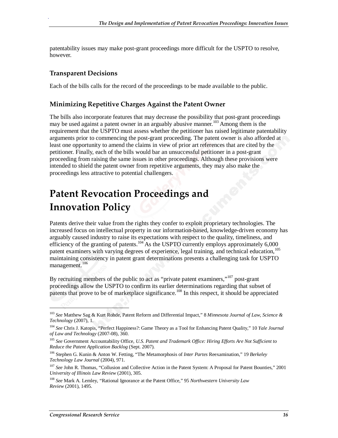patentability issues may make post-grant proceedings more difficult for the USPTO to resolve, however.

#### **Transparent Decisions**

.

Each of the bills calls for the record of the proceedings to be made available to the public.

#### **Minimizing Repetitive Charges Against the Patent Owner**

The bills also incorporate features that may decrease the possibility that post-grant proceedings may be used against a patent owner in an arguably abusive manner.<sup>103</sup> Among them is the requirement that the USPTO must assess whether the petitioner has raised legitimate patentability arguments prior to commencing the post-grant proceeding. The patent owner is also afforded at least one opportunity to amend the claims in view of prior art references that are cited by the petitioner. Finally, each of the bills would bar an unsuccessful petitioner in a post-grant proceeding from raising the same issues in other proceedings. Although these provisions were intended to shield the patent owner from repetitive arguments, they may also make the proceedings less attractive to potential challengers.

## **Patent Revocation Proceedings and Innovation Policy**

Patents derive their value from the rights they confer to exploit proprietary technologies. The increased focus on intellectual property in our information-based, knowledge-driven economy has arguably caused industry to raise its expectations with respect to the quality, timeliness, and efficiency of the granting of patents.<sup>104</sup> As the USPTO currently employs approximately 6,000 patent examiners with varying degrees of experience, legal training, and technical education,<sup>105</sup> maintaining consistency in patent grant determinations presents a challenging task for USPTO management.<sup>106</sup>

By recruiting members of the public to act as "private patent examiners,"<sup>107</sup> post-grant proceedings allow the USPTO to confirm its earlier determinations regarding that subset of patents that prove to be of marketplace significance.<sup>108</sup> In this respect, it should be appreciated

<u>.</u>

<sup>103</sup> *See* Matthew Sag & Kurt Rohde, Patent Reform and Differential Impact," 8 *Minnesota Journal of Law, Science & Technology* (2007), 1.

<sup>104</sup> *See* Chris J. Katopis, "Perfect Happiness?: Game Theory as a Tool for Enhancing Patent Quality," 10 *Yale Journal of Law and Technology* (2007-08), 360.

<sup>105</sup> *See* Government Accountability Office, *U.S. Patent and Trademark Office: Hiring Efforts Are Not Sufficient to Reduce the Patent Application Backlog* (Sept. 2007).

<sup>106</sup> Stephen G. Kunin & Anton W. Fetting, "The Metamorphosis of *Inter Partes* Reexamination," 19 *Berkeley Technology Law Journal* (2004), 971.

<sup>&</sup>lt;sup>107</sup> See John R. Thomas, "Collusion and Collective Action in the Patent System: A Proposal for Patent Bounties," 2001 *University of Illinois Law Review* (2001), 305.

<sup>108</sup> *See* Mark A. Lemley, "Rational Ignorance at the Patent Office," 95 *Northwestern University Law Review* (2001), 1495.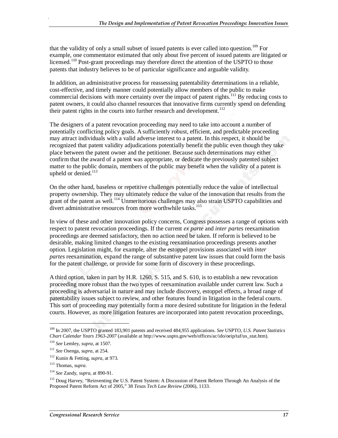that the validity of only a small subset of issued patents is ever called into question.<sup>109</sup> For example, one commentator estimated that only about five percent of issued patents are litigated or licensed.<sup>110</sup> Post-grant proceedings may therefore direct the attention of the USPTO to those patents that industry believes to be of particular significance and arguable validity.

In addition, an administrative process for reassessing patentability determinations in a reliable, cost-effective, and timely manner could potentially allow members of the public to make commercial decisions with more certainty over the impact of patent rights.<sup>111</sup> By reducing costs to patent owners, it could also channel resources that innovative firms currently spend on defending their patent rights in the courts into further research and development.<sup>112</sup>

The designers of a patent revocation proceeding may need to take into account a number of potentially conflicting policy goals. A sufficiently robust, efficient, and predictable proceeding may attract individuals with a valid adverse interest to a patent. In this respect, it should be recognized that patent validity adjudications potentially benefit the public even though they take place between the patent owner and the petitioner. Because such determinations may either confirm that the award of a patent was appropriate, or dedicate the previously patented subject matter to the public domain, members of the public may benefit when the validity of a patent is upheld or denied.<sup>113</sup>

On the other hand, baseless or repetitive challenges potentially reduce the value of intellectual property ownership. They may ultimately reduce the value of the innovation that results from the grant of the patent as well.<sup>114</sup> Unmeritorious challenges may also strain USPTO capabilities and divert administrative resources from more worthwhile tasks.<sup>115</sup>

In view of these and other innovation policy concerns, Congress possesses a range of options with respect to patent revocation proceedings. If the current *ex parte* and *inter partes* reexamination proceedings are deemed satisfactory, then no action need be taken. If reform is believed to be desirable, making limited changes to the existing reexamination proceedings presents another option. Legislation might, for example, alter the estoppel provisions associated with *inter partes* reexamination, expand the range of substantive patent law issues that could form the basis for the patent challenge, or provide for some form of discovery in these proceedings.

A third option, taken in part by H.R. 1260, S. 515, and S. 610, is to establish a new revocation proceeding more robust than the two types of reexamination available under current law. Such a proceeding is adversarial in nature and may include discovery, estoppel effects, a broad range of patentability issues subject to review, and other features found in litigation in the federal courts. This sort of proceeding may potentially form a more desired substitute for litigation in the federal courts. However, as more litigation features are incorporated into patent revocation proceedings,

<u>.</u>

<sup>109</sup> In 2007, the USPTO granted 183,901 patents and received 484,955 applications. *See* USPTO, *U.S. Patent Statistics Chart Calendar Years 1963-2007* (available at http://www.uspto.gov/web/offices/ac/ido/oeip/taf/us\_stat.htm).

<sup>110</sup> *See* Lemley*, supra*, at 1507. 111 *See* Osenga, *supra*, at 254.

<sup>112</sup> Kunin & Fetting, *supra*, at 973.

<sup>113</sup> Thomas, *supra*.

<sup>114</sup> *See* Zandy, *supra*, at 890-91.

<sup>&</sup>lt;sup>115</sup> Doug Harvey, "Reinventing the U.S. Patent System: A Discussion of Patent Reform Through An Analysis of the Proposed Patent Reform Act of 2005," 38 *Texas Tech Law Review* (2006), 1133.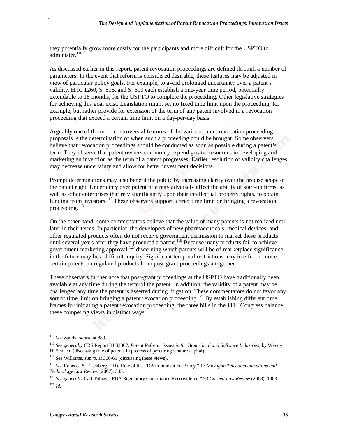they potentially grow more costly for the participants and more difficult for the USPTO to administer.<sup>116</sup>

As discussed earlier in this report, patent revocation proceedings are defined through a number of parameters. In the event that reform is considered desirable, these features may be adjusted in view of particular policy goals. For example, to avoid prolonged uncertainty over a patent's validity, H.R. 1260, S. 515, and S. 610 each establish a one-year time period, potentially extendable to 18 months, for the USPTO to complete the proceeding. Other legislative strategies for achieving this goal exist. Legislation might set no fixed time limit upon the proceeding, for example, but rather provide for extension of the term of any patent involved in a revocation proceeding that exceed a certain time limit on a day-per-day basis.

Arguably one of the more controversial features of the various patent revocation proceeding proposals is the determination of when such a proceeding could be brought. Some observers believe that revocation proceedings should be conducted as soon as possible during a patent's term. They observe that patent owners commonly expend greater resources in developing and marketing an invention as the term of a patent progresses. Earlier resolution of validity challenges may decrease uncertainty and allow for better investment decisions.

Prompt determinations may also benefit the public by increasing clarity over the precise scope of the patent right. Uncertainty over patent title may adversely affect the ability of start-up firms, as well as other enterprises that rely significantly upon their intellectual property rights, to obtain funding from investors.<sup>117</sup> These observers support a brief time limit on bringing a revocation proceeding.<sup>118</sup>

On the other hand, some commentators believe that the value of many patents is not realized until later in their terms. In particular, the developers of new pharmaceuticals, medical devices, and other regulated products often do not receive government permission to market these products until several years after they have procured a patent.<sup>119</sup> Because many products fail to achieve government marketing approval,  $120$  discerning which patents will be of marketplace significance in the future may be a difficult inquiry. Significant temporal restrictions may in effect remove certain patents on regulated products from post-grant proceedings altogether.

These observers further note that post-grant proceedings at the USPTO have traditionally been available at any time during the term of the patent. In addition, the validity of a patent may be challenged any time the patent is asserted during litigation. These commentators do not favor any sort of time limit on bringing a patent revocation proceeding.<sup>121</sup> By establishing different time frames for initiating a patent revocation proceeding, the three bills in the  $111<sup>th</sup>$  Congress balance these competing views in distinct ways.

<u>.</u>

<sup>116</sup> *See* Zandy, *supra*, at 880.

<sup>117</sup> *See generally* CRS Report RL33367, *Patent Reform: Issues in the Biomedical and Software Industries*, by Wendy H. Schacht (discussing role of patents in process of procuring venture capital).

<sup>118</sup> *See* Williams, *supra*, at 360-61 (discussing these views).

<sup>119</sup> *See* Rebecca S. Eisenberg, "The Role of the FDA in Innovation Policy," 13 *Michigan Telecommunications and* 

*Technology Law Review* (2007), 345. 120 *See generally* Carl Tobias, "FDA Regulatory Compliance Reconsidered," 93 *Cornell Law Review* (2008), 1003. <sup>121</sup> *Id.*